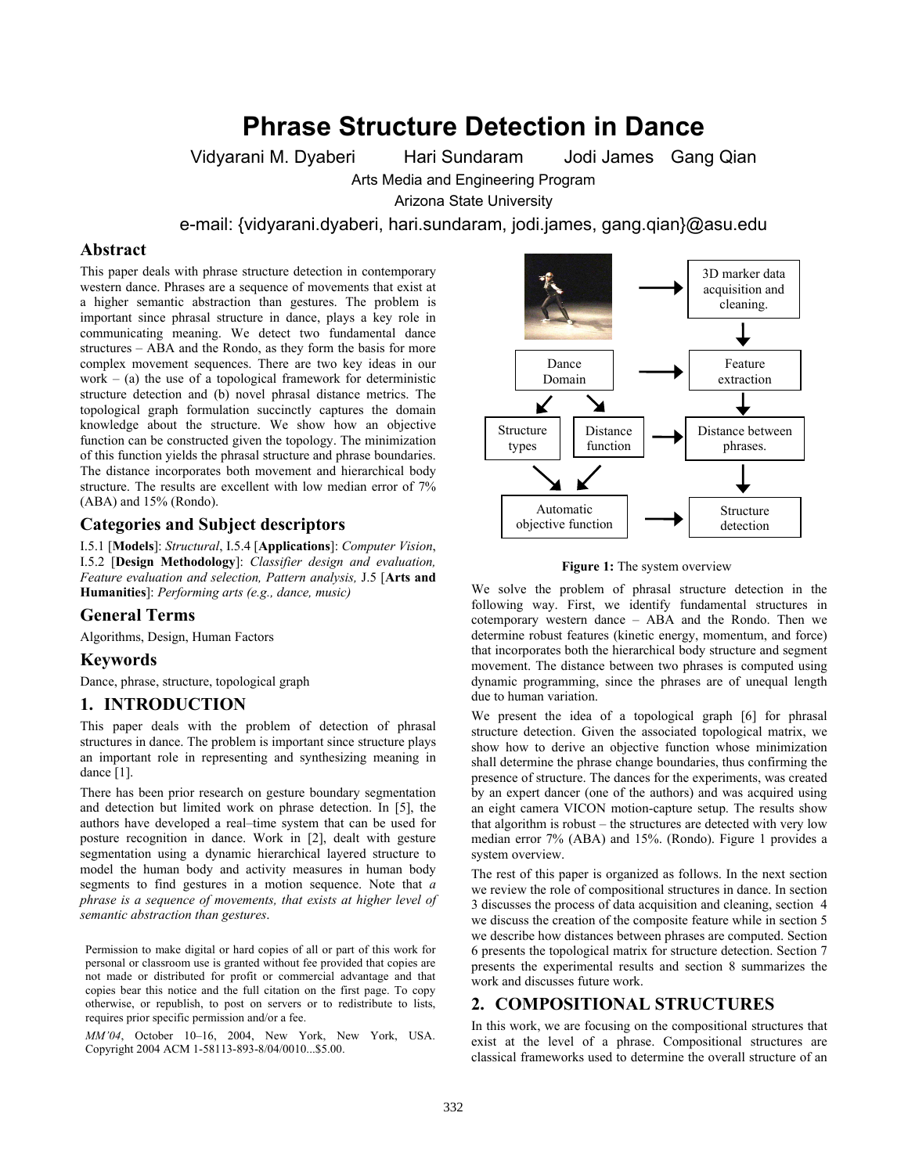# **Phrase Structure Detection in Dance**

Vidyarani M. Dyaberi Hari Sundaram Jodi James Gang Qian

Arts Media and Engineering Program

Arizona State University

e-mail: {vidyarani.dyaberi, hari.sundaram, jodi.james, gang.qian}@asu.edu

## **Abstract**

This paper deals with phrase structure detection in contemporary western dance. Phrases are a sequence of movements that exist at a higher semantic abstraction than gestures. The problem is important since phrasal structure in dance, plays a key role in communicating meaning. We detect two fundamental dance structures – ABA and the Rondo, as they form the basis for more complex movement sequences. There are two key ideas in our work – (a) the use of a topological framework for deterministic structure detection and (b) novel phrasal distance metrics. The topological graph formulation succinctly captures the domain knowledge about the structure. We show how an objective function can be constructed given the topology. The minimization of this function yields the phrasal structure and phrase boundaries. The distance incorporates both movement and hierarchical body structure. The results are excellent with low median error of 7% (ABA) and 15% (Rondo).

# **Categories and Subject descriptors**

I.5.1 [**Models**]: *Structural*, I.5.4 [**Applications**]: *Computer Vision*, I.5.2 [**Design Methodology**]: *Classifier design and evaluation, Feature evaluation and selection, Pattern analysis,* J.5 [**Arts and Humanities**]: *Performing arts (e.g., dance, music)*

# **General Terms**

Algorithms, Design, Human Factors

## **Keywords**

Dance, phrase, structure, topological graph

## **1. INTRODUCTION**

This paper deals with the problem of detection of phrasal structures in dance. The problem is important since structure plays an important role in representing and synthesizing meaning in dance [1].

There has been prior research on gesture boundary segmentation and detection but limited work on phrase detection. In [5], the authors have developed a real–time system that can be used for posture recognition in dance. Work in [2], dealt with gesture segmentation using a dynamic hierarchical layered structure to model the human body and activity measures in human body segments to find gestures in a motion sequence. Note that *a phrase is a sequence of movements, that exists at higher level of semantic abstraction than gestures*.

Permission to make digital or hard copies of all or part of this work for personal or classroom use is granted without fee provided that copies are not made or distributed for profit or commercial advantage and that copies bear this notice and the full citation on the first page. To copy otherwise, or republish, to post on servers or to redistribute to lists, requires prior specific permission and/or a fee.

*MM'04*, October 10–16, 2004, New York, New York, USA. Copyright 2004 ACM 1-58113-893-8/04/0010...\$5.00.



**Figure 1:** The system overview

We solve the problem of phrasal structure detection in the following way. First, we identify fundamental structures in cotemporary western dance – ABA and the Rondo. Then we determine robust features (kinetic energy, momentum, and force) that incorporates both the hierarchical body structure and segment movement. The distance between two phrases is computed using dynamic programming, since the phrases are of unequal length due to human variation.

We present the idea of a topological graph [6] for phrasal structure detection. Given the associated topological matrix, we show how to derive an objective function whose minimization shall determine the phrase change boundaries, thus confirming the presence of structure. The dances for the experiments, was created by an expert dancer (one of the authors) and was acquired using an eight camera VICON motion-capture setup. The results show that algorithm is robust – the structures are detected with very low median error 7% (ABA) and 15%. (Rondo). Figure 1 provides a system overview.

The rest of this paper is organized as follows. In the next section we review the role of compositional structures in dance. In section 3 discusses the process of data acquisition and cleaning, section 4 we discuss the creation of the composite feature while in section 5 we describe how distances between phrases are computed. Section 6 presents the topological matrix for structure detection. Section 7 presents the experimental results and section 8 summarizes the work and discusses future work.

# **2. COMPOSITIONAL STRUCTURES**

In this work, we are focusing on the compositional structures that exist at the level of a phrase. Compositional structures are classical frameworks used to determine the overall structure of an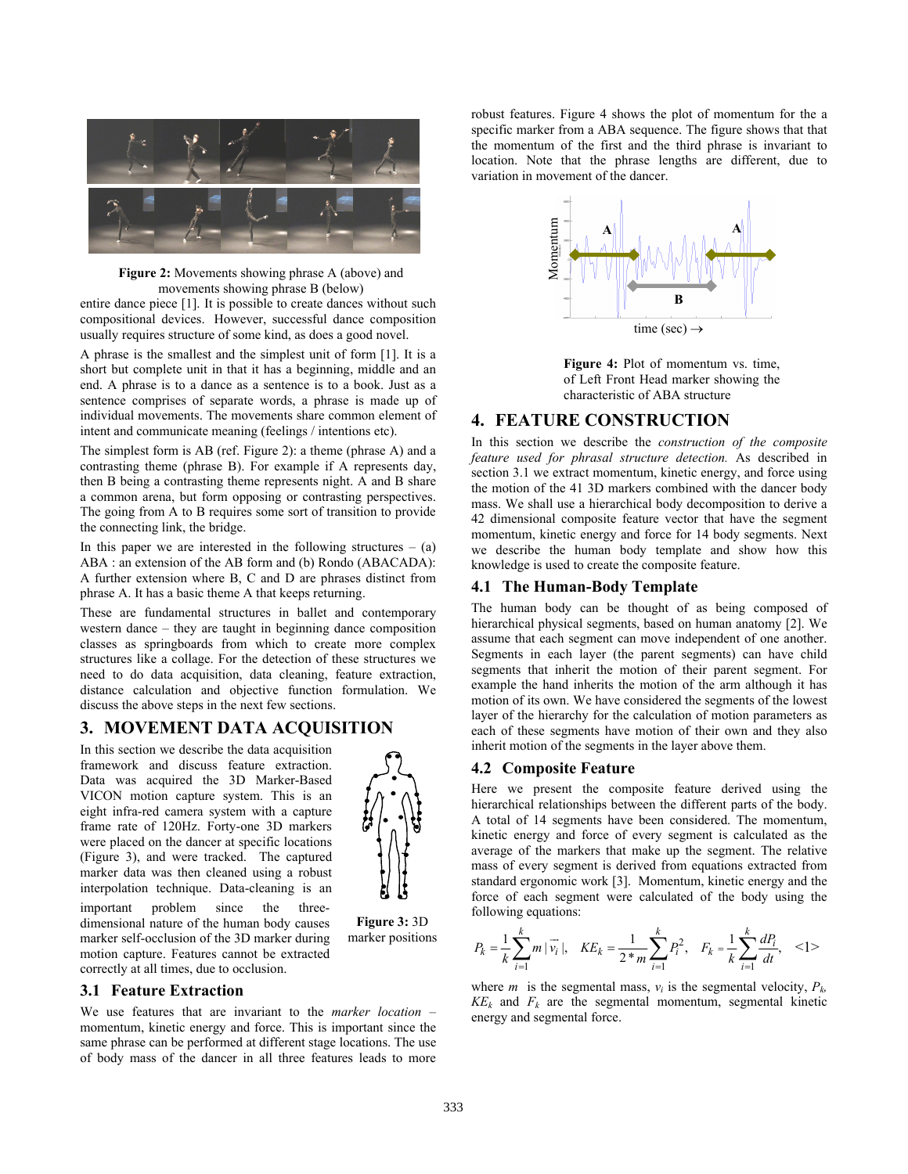

**Figure 2:** Movements showing phrase A (above) and movements showing phrase B (below)

entire dance piece [1]. It is possible to create dances without such compositional devices. However, successful dance composition usually requires structure of some kind, as does a good novel.

A phrase is the smallest and the simplest unit of form [1]. It is a short but complete unit in that it has a beginning, middle and an end. A phrase is to a dance as a sentence is to a book. Just as a sentence comprises of separate words, a phrase is made up of individual movements. The movements share common element of intent and communicate meaning (feelings / intentions etc).

The simplest form is AB (ref. Figure 2): a theme (phrase A) and a contrasting theme (phrase B). For example if A represents day, then B being a contrasting theme represents night. A and B share a common arena, but form opposing or contrasting perspectives. The going from A to B requires some sort of transition to provide the connecting link, the bridge.

In this paper we are interested in the following structures  $-$  (a) ABA : an extension of the AB form and (b) Rondo (ABACADA): A further extension where B, C and D are phrases distinct from phrase A. It has a basic theme A that keeps returning.

These are fundamental structures in ballet and contemporary western dance – they are taught in beginning dance composition classes as springboards from which to create more complex structures like a collage. For the detection of these structures we need to do data acquisition, data cleaning, feature extraction, distance calculation and objective function formulation. We discuss the above steps in the next few sections.

# **3. MOVEMENT DATA ACQUISITION**

In this section we describe the data acquisition framework and discuss feature extraction. Data was acquired the 3D Marker-Based VICON motion capture system. This is an eight infra-red camera system with a capture frame rate of 120Hz. Forty-one 3D markers were placed on the dancer at specific locations (Figure 3), and were tracked. The captured marker data was then cleaned using a robust interpolation technique. Data-cleaning is an important problem since the threedimensional nature of the human body causes marker self-occlusion of the 3D marker during motion capture. Features cannot be extracted correctly at all times, due to occlusion.



**Figure 3:** 3D marker positions

# **3.1 Feature Extraction**

We use features that are invariant to the *marker location* – momentum, kinetic energy and force. This is important since the same phrase can be performed at different stage locations. The use of body mass of the dancer in all three features leads to more

robust features. Figure 4 shows the plot of momentum for the a specific marker from a ABA sequence. The figure shows that that the momentum of the first and the third phrase is invariant to location. Note that the phrase lengths are different, due to variation in movement of the dancer.



**Figure 4:** Plot of momentum vs. time, of Left Front Head marker showing the characteristic of ABA structure

# **4. FEATURE CONSTRUCTION**

In this section we describe the *construction of the composite feature used for phrasal structure detection.* As described in section 3.1 we extract momentum, kinetic energy, and force using the motion of the 41 3D markers combined with the dancer body mass. We shall use a hierarchical body decomposition to derive a 42 dimensional composite feature vector that have the segment momentum, kinetic energy and force for 14 body segments. Next we describe the human body template and show how this knowledge is used to create the composite feature.

## **4.1 The Human-Body Template**

The human body can be thought of as being composed of hierarchical physical segments, based on human anatomy [2]. We assume that each segment can move independent of one another. Segments in each layer (the parent segments) can have child segments that inherit the motion of their parent segment. For example the hand inherits the motion of the arm although it has motion of its own. We have considered the segments of the lowest layer of the hierarchy for the calculation of motion parameters as each of these segments have motion of their own and they also inherit motion of the segments in the layer above them.

# **4.2 Composite Feature**

Here we present the composite feature derived using the hierarchical relationships between the different parts of the body. A total of 14 segments have been considered. The momentum, kinetic energy and force of every segment is calculated as the average of the markers that make up the segment. The relative mass of every segment is derived from equations extracted from standard ergonomic work [3]. Momentum, kinetic energy and the force of each segment were calculated of the body using the following equations:

$$
P_k = \frac{1}{k} \sum_{i=1}^k m |\vec{v_i}|, \quad KE_k = \frac{1}{2 \cdot m} \sum_{i=1}^k P_i^2, \quad F_k = \frac{1}{k} \sum_{i=1}^k \frac{dP_i}{dt}, \quad \text{<1>}
$$

where *m* is the segmental mass,  $v_i$  is the segmental velocity,  $P_k$ ,  $KE<sub>k</sub>$  and  $F<sub>k</sub>$  are the segmental momentum, segmental kinetic energy and segmental force.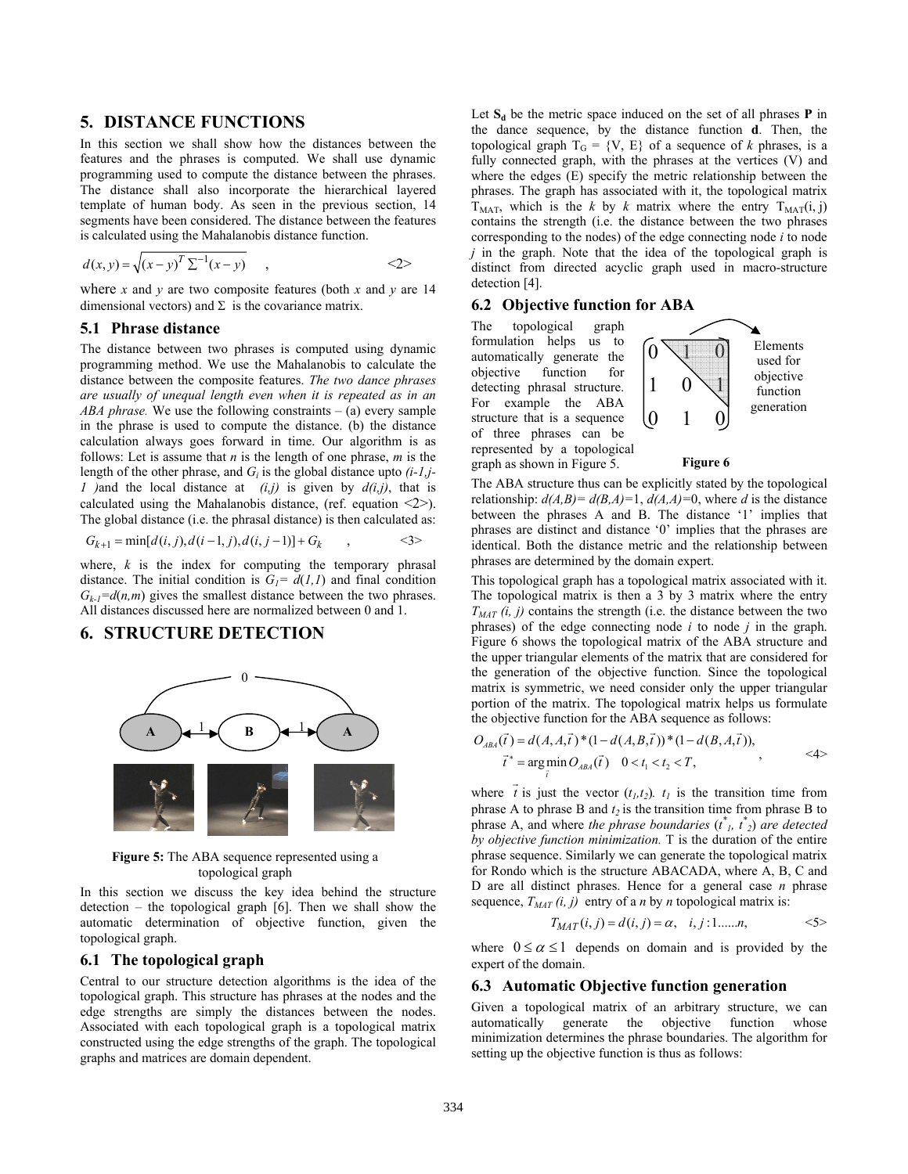# **5. DISTANCE FUNCTIONS**

In this section we shall show how the distances between the features and the phrases is computed. We shall use dynamic programming used to compute the distance between the phrases. The distance shall also incorporate the hierarchical layered template of human body. As seen in the previous section, 14 segments have been considered. The distance between the features is calculated using the Mahalanobis distance function.

$$
d(x, y) = \sqrt{(x - y)^T \sum^{-1} (x - y)}
$$
, (2)

where *x* and *y* are two composite features (both *x* and *y* are 14 dimensional vectors) and  $\Sigma$  is the covariance matrix.

#### **5.1 Phrase distance**

The distance between two phrases is computed using dynamic programming method. We use the Mahalanobis to calculate the distance between the composite features. *The two dance phrases are usually of unequal length even when it is repeated as in an ABA phrase.* We use the following constraints – (a) every sample in the phrase is used to compute the distance. (b) the distance calculation always goes forward in time. Our algorithm is as follows: Let is assume that *n* is the length of one phrase, *m* is the length of the other phrase, and *Gi* is the global distance upto *(i-1,j-1 )*and the local distance at *(i,j)* is given by *d(i,j)*, that is calculated using the Mahalanobis distance, (ref. equation  $\langle 2 \rangle$ ). The global distance (i.e. the phrasal distance) is then calculated as:

$$
G_{k+1} = \min[d(i, j), d(i-1, j), d(i, j-1)] + G_k \qquad , \qquad \leq 3 >
$$

where,  $k$  is the index for computing the temporary phrasal distance. The initial condition is  $G_1 = d(1,1)$  and final condition  $G_k = d(n,m)$  gives the smallest distance between the two phrases. All distances discussed here are normalized between 0 and 1.

# **6. STRUCTURE DETECTION**



**Figure 5:** The ABA sequence represented using a topological graph

In this section we discuss the key idea behind the structure detection – the topological graph  $[6]$ . Then we shall show the automatic determination of objective function, given the topological graph.

## **6.1 The topological graph**

Central to our structure detection algorithms is the idea of the topological graph. This structure has phrases at the nodes and the edge strengths are simply the distances between the nodes. Associated with each topological graph is a topological matrix constructed using the edge strengths of the graph. The topological graphs and matrices are domain dependent.

Let  $S_d$  be the metric space induced on the set of all phrases **P** in the dance sequence, by the distance function **d**. Then, the topological graph  $T_G = \{V, E\}$  of a sequence of *k* phrases, is a fully connected graph, with the phrases at the vertices (V) and where the edges (E) specify the metric relationship between the phrases. The graph has associated with it, the topological matrix  $T<sub>MAT</sub>$ , which is the *k* by *k* matrix where the entry  $T<sub>MAT</sub>(i, j)$ contains the strength (i.e. the distance between the two phrases corresponding to the nodes) of the edge connecting node *i* to node *j* in the graph. Note that the idea of the topological graph is distinct from directed acyclic graph used in macro-structure detection [4].

### **6.2 Objective function for ABA**

The topological graph formulation helps us to automatically generate the objective function for detecting phrasal structure. For example the ABA structure that is a sequence of three phrases can be represented by a topological graph as shown in Figure 5.



#### **Figure 6**

The ABA structure thus can be explicitly stated by the topological relationship:  $d(A,B) = d(B,A)=1$ ,  $d(A,A)=0$ , where *d* is the distance between the phrases A and B. The distance '1' implies that phrases are distinct and distance '0' implies that the phrases are identical. Both the distance metric and the relationship between phrases are determined by the domain expert.

This topological graph has a topological matrix associated with it. The topological matrix is then a 3 by 3 matrix where the entry  $T_{MAT}(\hat{i}, j)$  contains the strength (i.e. the distance between the two phrases) of the edge connecting node *i* to node *j* in the graph. Figure 6 shows the topological matrix of the ABA structure and the upper triangular elements of the matrix that are considered for the generation of the objective function. Since the topological matrix is symmetric, we need consider only the upper triangular portion of the matrix. The topological matrix helps us formulate the objective function for the ABA sequence as follows:

$$
O_{ABA}(\vec{t}) = d(A, A, \vec{t}) * (1 - d(A, B, \vec{t})) * (1 - d(B, A, \vec{t})),
$$
  
\n
$$
\vec{t}^* = \underset{\vec{t}}{\arg \min} O_{ABA}(\vec{t}) \quad 0 < t_1 < t_2 < T,
$$
 (4)

where  $\vec{t}$  is just the vector  $(t_l, t_2)$ .  $t_l$  is the transition time from phrase A to phrase B and  $t_2$  is the transition time from phrase B to phrase A, and where *the phrase boundaries*  $(t^*$ <sub>*i*</sub>,  $t^*$ <sub>2</sub>) are detected *by objective function minimization.* T is the duration of the entire phrase sequence. Similarly we can generate the topological matrix for Rondo which is the structure ABACADA, where A, B, C and D are all distinct phrases. Hence for a general case *n* phrase sequence,  $T_{MAT}$  (*i, j*) entry of a *n* by *n* topological matrix is:

$$
T_{MAT}(i, j) = d(i, j) = \alpha, \quad i, j: 1, \dots, n, \quad \text{5} > 5
$$

where  $0 \le \alpha \le 1$  depends on domain and is provided by the expert of the domain.

## **6.3 Automatic Objective function generation**

Given a topological matrix of an arbitrary structure, we can automatically generate the objective function whose minimization determines the phrase boundaries. The algorithm for setting up the objective function is thus as follows: